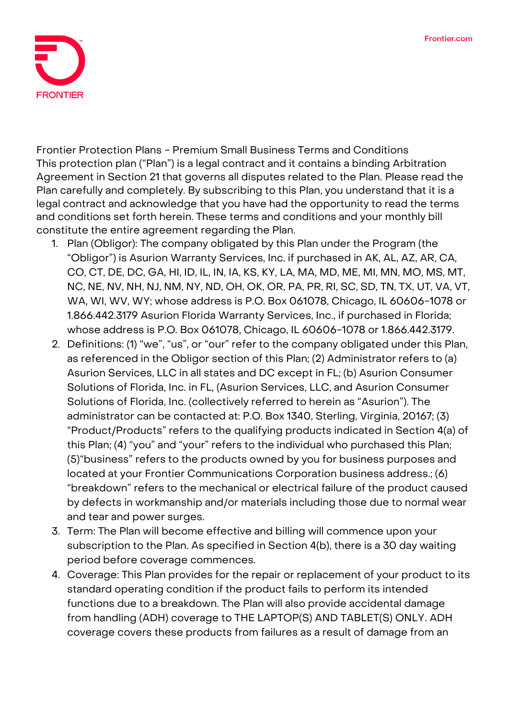

**Frontier Protection Plans - Premium Small Business Terms and Conditions** This protection plan ("Plan") is a legal contract and it contains a binding Arbitration Agreement in Section 21 that governs all disputes related to the Plan. Please read the Plan carefully and completely. By subscribing to this Plan, you understand that it is a legal contract and acknowledge that you have had the opportunity to read the terms and conditions set forth herein. These terms and conditions and your monthly bill constitute the entire agreement regarding the Plan.

- 1. **Plan (Obligor):** The company obligated by this Plan under the Program (the "Obligor") is Asurion Warranty Services, Inc. if purchased in AK, AL, AZ, AR, CA, CO, CT, DE, DC, GA, HI, ID, IL, IN, IA, KS, KY, LA, MA, MD, ME, MI, MN, MO, MS, MT, NC, NE, NV, NH, NJ, NM, NY, ND, OH, OK, OR, PA, PR, RI, SC, SD, TN, TX, UT, VA, VT, WA, WI, WV, WY; whose address is P.O. Box 061078, Chicago, IL 60606-1078 or 1.866.442.3179 Asurion Florida Warranty Services, Inc., if purchased in Florida; whose address is P.O. Box 061078, Chicago, IL 60606-1078 or 1.866.442.3179.
- 2. **Definitions:** (1) "we", "us", or "our" refer to the company obligated under this Plan, as referenced in the Obligor section of this Plan; (2) Administrator refers to (a) Asurion Services, LLC in all states and DC except in FL; (b) Asurion Consumer Solutions of Florida, Inc. in FL, (Asurion Services, LLC, and Asurion Consumer Solutions of Florida, Inc. (collectively referred to herein as "Asurion"). The administrator can be contacted at: P.O. Box 1340, Sterling, Virginia, 20167; (3) "Product/Products" refers to the qualifying products indicated in Section 4(a) of this Plan; (4) "you" and "your" refers to the individual who purchased this Plan; (5)"business" refers to the products owned by you for business purposes and located at your Frontier Communications Corporation business address.; (6) "breakdown" refers to the mechanical or electrical failure of the product caused by defects in workmanship and/or materials including those due to normal wear and tear and power surges.
- **3. Term:** The Plan will become effective and billing will commence upon your subscription to the Plan. **As specified in Section 4(b), there is a 30 day waiting period before coverage commences.**
- 4. **Coverage:** This Plan provides for the repair or replacement of your product to its standard operating condition if the product fails to perform its intended functions due to a breakdown. The Plan will also provide accidental damage from handling (ADH) coverage to **THE LAPTOP(S) AND TABLET(S) ONLY**. ADH coverage covers these products from failures as a result of damage from an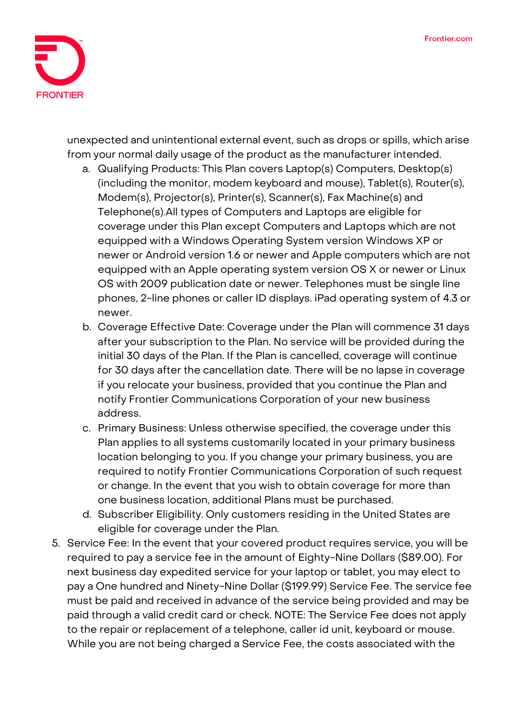

unexpected and unintentional external event, such as drops or spills, which arise from your normal daily usage of the product as the manufacturer intended.

- a. Qualifying Products: This Plan covers Laptop(s) Computers, Desktop(s) (including the monitor, modem keyboard and mouse), Tablet(s), Router(s), Modem(s), Projector(s), Printer(s), Scanner(s), Fax Machine(s) and Telephone(s).All types of Computers and Laptops are eligible for coverage under this Plan except Computers and Laptops which are not equipped with a Windows Operating System version Windows XP or newer or Android version 1.6 or newer and Apple computers which are not equipped with an Apple operating system version OS X or newer or Linux OS with 2009 publication date or newer. Telephones must be single line phones, 2-line phones or caller ID displays. iPad operating system of 4.3 or newer.
- b. Coverage Effective Date: **Coverage under the Plan will commence 31 days after your subscription to the Plan. No service will be provided during the initial 30 days of the Plan. If the Plan is cancelled, coverage will continue for 30 days after the cancellation date.** There will be no lapse in coverage if you relocate your business, provided that you continue the Plan and notify Frontier Communications Corporation of your new business address.
- c. Primary Business: Unless otherwise specified, the coverage under this Plan applies to all systems customarily located in your primary business location belonging to you. If you change your primary business, you are required to notify Frontier Communications Corporation of such request or change. In the event that you wish to obtain coverage for more than one business location, additional Plans must be purchased.
- d. Subscriber Eligibility. Only customers residing in the United States are eligible for coverage under the Plan.
- 5. **Service Fee:** In the event that your covered product requires service, you will be required to pay a service fee in the amount of Eighty-Nine Dollars (\$89.00). For next business day expedited service for your laptop or tablet, you may elect to pay a One hundred and Ninety-Nine Dollar (\$199.99) Service Fee. The service fee must be paid and received in advance of the service being provided and may be paid through a valid credit card or check. NOTE: The Service Fee does not apply to the repair or replacement of a telephone, caller id unit, keyboard or mouse. While you are not being charged a Service Fee, the costs associated with the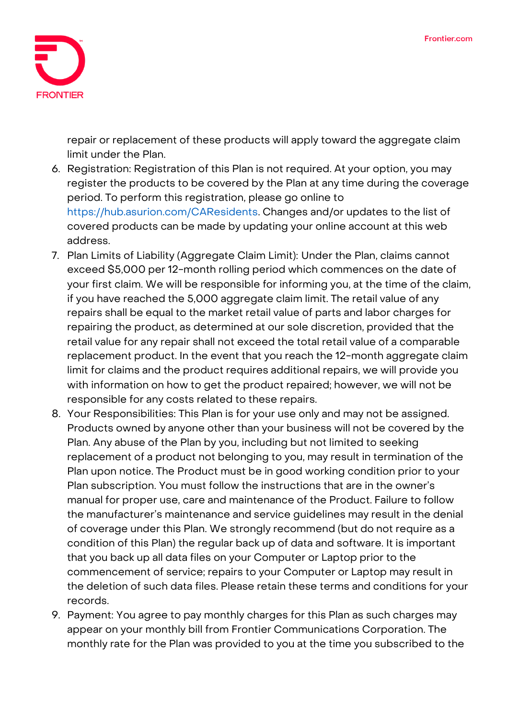

repair or replacement of these products will apply toward the aggregate claim limit under the Plan.

- 6. **Registration:** Registration of this Plan is not required. At your option, you may register the products to be covered by the Plan at any time during the coverage period. To perform this registration, please go online to https://hub.asurion.com/CAResidents. Changes and/or updates to the list of covered products can be made by updating your online account at this web address.
- 7. **Plan Limits of Liability (Aggregate Claim Limit):** Under the Plan, claims cannot exceed \$5,000 per 12-month rolling period which commences on the date of your first claim. We will be responsible for informing you, at the time of the claim, if you have reached the 5,000 aggregate claim limit. The retail value of any repairs shall be equal to the market retail value of parts and labor charges for repairing the product, as determined at our sole discretion, provided that the retail value for any repair shall not exceed the total retail value of a comparable replacement product. In the event that you reach the 12-month aggregate claim limit for claims and the product requires additional repairs, we will provide you with information on how to get the product repaired; however, we will not be responsible for any costs related to these repairs.
- 8. **Your Responsibilities:** This Plan is for your use only and may not be assigned. Products owned by anyone other than your business will not be covered by the Plan. Any abuse of the Plan by you, including but not limited to seeking replacement of a product not belonging to you, may result in termination of the Plan upon notice. The Product must be in good working condition prior to your Plan subscription. You must follow the instructions that are in the owner's manual for proper use, care and maintenance of the Product. Failure to follow the manufacturer's maintenance and service guidelines may result in the denial of coverage under this Plan. We strongly recommend (but do not require as a condition of this Plan) the regular back up of data and software. It is important that you back up all data files on your Computer or Laptop prior to the commencement of service; repairs to your Computer or Laptop may result in the deletion of such data files. Please retain these terms and conditions for your records.
- 9. **Payment:** You agree to pay monthly charges for this Plan as such charges may appear on your monthly bill from Frontier Communications Corporation. The monthly rate for the Plan was provided to you at the time you subscribed to the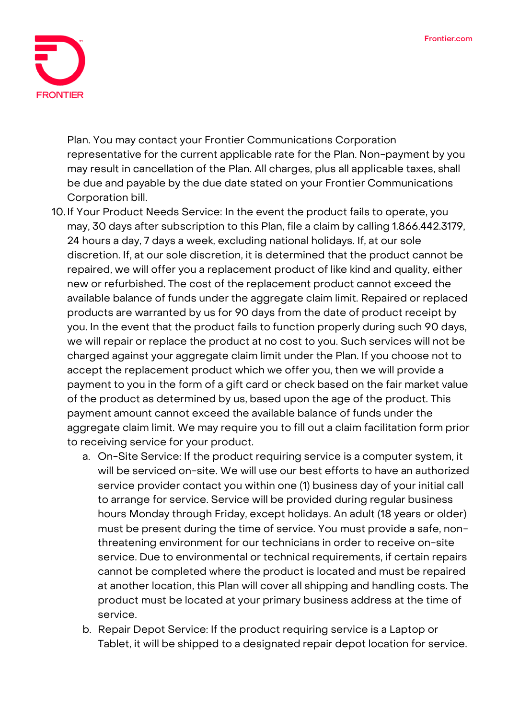

Plan. You may contact your Frontier Communications Corporation representative for the current applicable rate for the Plan. Non-payment by you may result in cancellation of the Plan. All charges, plus all applicable taxes, shall be due and payable by the due date stated on your Frontier Communications Corporation bill.

- 10. **If Your Product Needs Service:** In the event the product fails to operate, you may, 30 days after subscription to this Plan, file a claim by calling 1.866.442.3179, 24 hours a day, 7 days a week, excluding national holidays. If, at our sole discretion. If, at our sole discretion, it is determined that the product cannot be repaired, we will offer you a replacement product of like kind and quality, either new or refurbished. The cost of the replacement product cannot exceed the available balance of funds under the aggregate claim limit. Repaired or replaced products are warranted by us for 90 days from the date of product receipt by you. In the event that the product fails to function properly during such 90 days, we will repair or replace the product at no cost to you. Such services will not be charged against your aggregate claim limit under the Plan. If you choose not to accept the replacement product which we offer you, then we will provide a payment to you in the form of a gift card or check based on the fair market value of the product as determined by us, based upon the age of the product. This payment amount cannot exceed the available balance of funds under the aggregate claim limit. We may require you to fill out a claim facilitation form prior to receiving service for your product.
	- a. On-Site Service: If the product requiring service is a computer system, it will be serviced on-site. We will use our best efforts to have an authorized service provider contact you within one (1) business day of your initial call to arrange for service. Service will be provided during regular business hours Monday through Friday, except holidays. An adult (18 years or older) must be present during the time of service. You must provide a safe, nonthreatening environment for our technicians in order to receive on-site service. Due to environmental or technical requirements, if certain repairs cannot be completed where the product is located and must be repaired at another location, this Plan will cover all shipping and handling costs. The product must be located at your primary business address at the time of service.
	- b. Repair Depot Service: If the product requiring service is a Laptop or Tablet, it will be shipped to a designated repair depot location for service.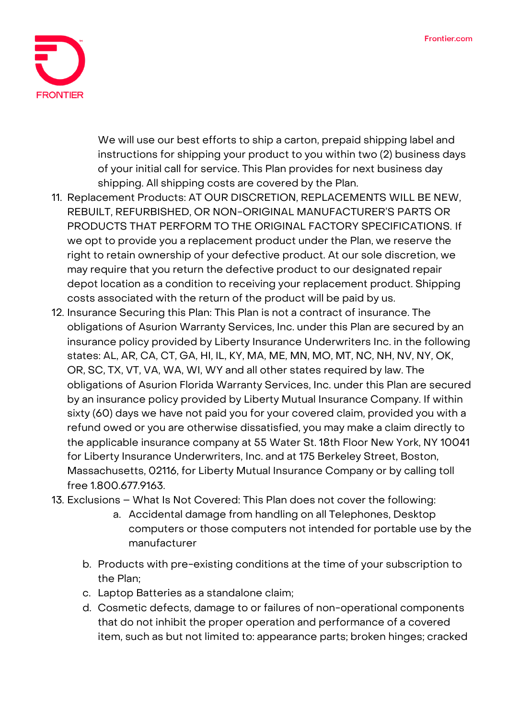

We will use our best efforts to ship a carton, prepaid shipping label and instructions for shipping your product to you within two (2) business days of your initial call for service. This Plan provides for next business day shipping. All shipping costs are covered by the Plan.

- 11. **Replacement Products: AT OUR DISCRETION, REPLACEMENTS WILL BE NEW, REBUILT, REFURBISHED, OR NON-ORIGINAL MANUFACTURER'S PARTS OR PRODUCTS THAT PERFORM TO THE ORIGINAL FACTORY SPECIFICATIONS.** If we opt to provide you a replacement product under the Plan, we reserve the right to retain ownership of your defective product. At our sole discretion, we may require that you return the defective product to our designated repair depot location as a condition to receiving your replacement product. Shipping costs associated with the return of the product will be paid by us.
- 12. **Insurance Securing this Plan:** This Plan is not a contract of insurance. The obligations of Asurion Warranty Services, Inc. under this Plan are secured by an insurance policy provided by Liberty Insurance Underwriters Inc. in the following states: AL, AR, CA, CT, GA, HI, IL, KY, MA, ME, MN, MO, MT, NC, NH, NV, NY, OK, OR, SC, TX, VT, VA, WA, WI, WY and all other states required by law. The obligations of Asurion Florida Warranty Services, Inc. under this Plan are secured by an insurance policy provided by Liberty Mutual Insurance Company. If within sixty (60) days we have not paid you for your covered claim, provided you with a refund owed or you are otherwise dissatisfied, you may make a claim directly to the applicable insurance company at 55 Water St. 18th Floor New York, NY 10041 for Liberty Insurance Underwriters, Inc. and at 175 Berkeley Street, Boston, Massachusetts, 02116, for Liberty Mutual Insurance Company or by calling toll free 1.800.677.9163.
- 13. **Exclusions – What Is Not Covered:** This Plan does not cover the following:
	- a. Accidental damage from handling on all Telephones, Desktop computers or those computers not intended for portable use by the manufacturer
	- b. Products with pre-existing conditions at the time of your subscription to the Plan;
	- c. Laptop Batteries as a standalone claim;
	- d. Cosmetic defects, damage to or failures of non-operational components that do not inhibit the proper operation and performance of a covered item, such as but not limited to: appearance parts; broken hinges; cracked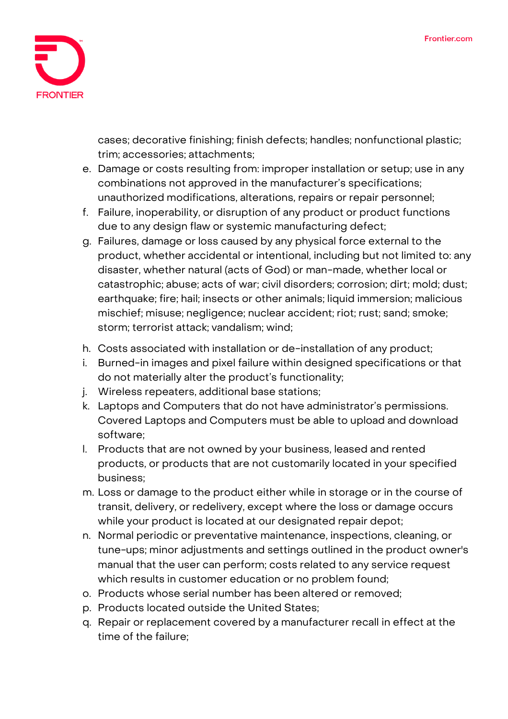

cases; decorative finishing; finish defects; handles; nonfunctional plastic; trim; accessories; attachments;

- e. Damage or costs resulting from: improper installation or setup; use in any combinations not approved in the manufacturer's specifications; unauthorized modifications, alterations, repairs or repair personnel;
- f. Failure, inoperability, or disruption of any product or product functions due to any design flaw or systemic manufacturing defect;
- g. Failures, damage or loss caused by any physical force external to the product, whether accidental or intentional, including but not limited to: any disaster, whether natural (acts of God) or man-made, whether local or catastrophic; abuse; acts of war; civil disorders; corrosion; dirt; mold; dust; earthquake; fire; hail; insects or other animals; liquid immersion; malicious mischief; misuse; negligence; nuclear accident; riot; rust; sand; smoke; storm; terrorist attack; vandalism; wind;
- h. Costs associated with installation or de-installation of any product;
- i. Burned-in images and pixel failure within designed specifications or that do not materially alter the product's functionality;
- j. Wireless repeaters, additional base stations;
- k. Laptops and Computers that do not have administrator's permissions. Covered Laptops and Computers must be able to upload and download software;
- l. Products that are not owned by your business, leased and rented products, or products that are not customarily located in your specified business;
- m. Loss or damage to the product either while in storage or in the course of transit, delivery, or redelivery, except where the loss or damage occurs while your product is located at our designated repair depot;
- n. Normal periodic or preventative maintenance, inspections, cleaning, or tune-ups; minor adjustments and settings outlined in the product owner's manual that the user can perform; costs related to any service request which results in customer education or no problem found;
- o. Products whose serial number has been altered or removed;
- p. Products located outside the United States;
- q. Repair or replacement covered by a manufacturer recall in effect at the time of the failure;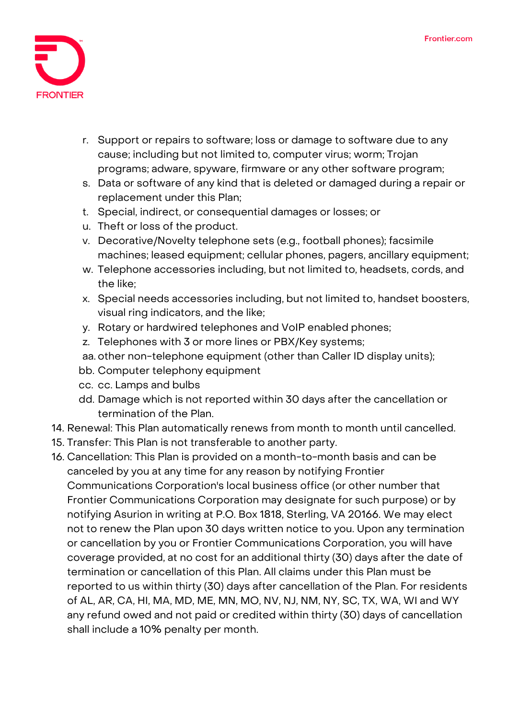

- r. Support or repairs to software; loss or damage to software due to any cause; including but not limited to, computer virus; worm; Trojan programs; adware, spyware, firmware or any other software program;
- s. Data or software of any kind that is deleted or damaged during a repair or replacement under this Plan;
- t. Special, indirect, or consequential damages or losses; or
- u. Theft or loss of the product.
- v. Decorative/Novelty telephone sets (e.g., football phones); facsimile machines; leased equipment; cellular phones, pagers, ancillary equipment;
- w. Telephone accessories including, but not limited to, headsets, cords, and the like;
- x. Special needs accessories including, but not limited to, handset boosters, visual ring indicators, and the like;
- y. Rotary or hardwired telephones and VoIP enabled phones;
- z. Telephones with 3 or more lines or PBX/Key systems;
- aa. other non-telephone equipment (other than Caller ID display units);
- bb. Computer telephony equipment
- cc. cc. Lamps and bulbs
- dd. Damage which is not reported within 30 days after the cancellation or termination of the Plan.
- 14. **Renewal:** This Plan automatically renews from month to month until cancelled.
- 15. **Transfer:** This Plan is not transferable to another party.
- 16. **Cancellation:** This Plan is provided on a month-to-month basis and can be canceled by you at any time for any reason by notifying Frontier Communications Corporation's local business office (or other number that Frontier Communications Corporation may designate for such purpose) or by notifying Asurion in writing at P.O. Box 1818, Sterling, VA 20166. We may elect not to renew the Plan upon 30 days written notice to you. Upon any termination or cancellation by you or Frontier Communications Corporation, you will have coverage provided, at no cost for an additional thirty (30) days after the date of termination or cancellation of this Plan. All claims under this Plan must be reported to us within thirty (30) days after cancellation of the Plan. For residents of AL, AR, CA, HI, MA, MD, ME, MN, MO, NV, NJ, NM, NY, SC, TX, WA, WI and WY any refund owed and not paid or credited within thirty (30) days of cancellation shall include a 10% penalty per month.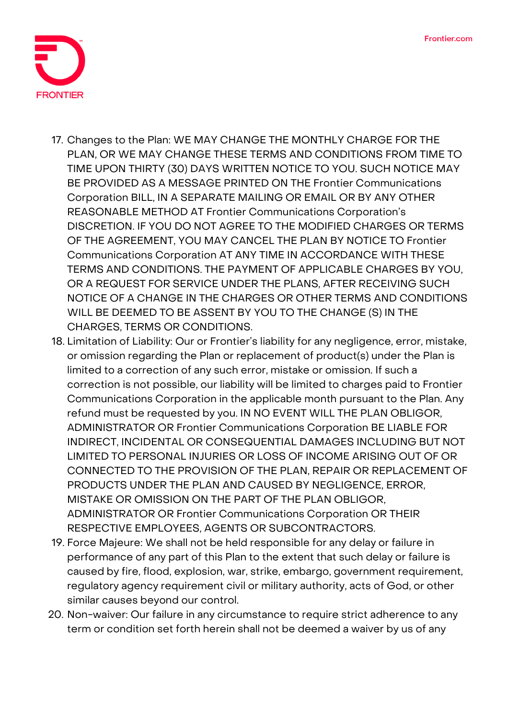

- 17. **Changes to the Plan:** WE MAY CHANGE THE MONTHLY CHARGE FOR THE PLAN, OR WE MAY CHANGE THESE TERMS AND CONDITIONS FROM TIME TO TIME UPON THIRTY (30) DAYS WRITTEN NOTICE TO YOU. SUCH NOTICE MAY BE PROVIDED AS A MESSAGE PRINTED ON THE Frontier Communications Corporation BILL, IN A SEPARATE MAILING OR EMAIL OR BY ANY OTHER REASONABLE METHOD AT Frontier Communications Corporation's DISCRETION. IF YOU DO NOT AGREE TO THE MODIFIED CHARGES OR TERMS OF THE AGREEMENT, YOU MAY CANCEL THE PLAN BY NOTICE TO Frontier Communications Corporation AT ANY TIME IN ACCORDANCE WITH THESE TERMS AND CONDITIONS. THE PAYMENT OF APPLICABLE CHARGES BY YOU, OR A REQUEST FOR SERVICE UNDER THE PLANS, AFTER RECEIVING SUCH NOTICE OF A CHANGE IN THE CHARGES OR OTHER TERMS AND CONDITIONS WILL BE DEEMED TO BE ASSENT BY YOU TO THE CHANGE (S) IN THE CHARGES, TERMS OR CONDITIONS.
- 18. **Limitation of Liability:** Our or Frontier's liability for any negligence, error, mistake, or omission regarding the Plan or replacement of product(s) under the Plan is limited to a correction of any such error, mistake or omission. If such a correction is not possible, our liability will be limited to charges paid to Frontier Communications Corporation in the applicable month pursuant to the Plan. Any refund must be requested by you. IN NO EVENT WILL THE PLAN OBLIGOR, ADMINISTRATOR OR Frontier Communications Corporation BE LIABLE FOR INDIRECT, INCIDENTAL OR CONSEQUENTIAL DAMAGES INCLUDING BUT NOT LIMITED TO PERSONAL INJURIES OR LOSS OF INCOME ARISING OUT OF OR CONNECTED TO THE PROVISION OF THE PLAN, REPAIR OR REPLACEMENT OF PRODUCTS UNDER THE PLAN AND CAUSED BY NEGLIGENCE, ERROR, MISTAKE OR OMISSION ON THE PART OF THE PLAN OBLIGOR, ADMINISTRATOR OR Frontier Communications Corporation OR THEIR RESPECTIVE EMPLOYEES, AGENTS OR SUBCONTRACTORS.
- 19. **Force Majeure:** We shall not be held responsible for any delay or failure in performance of any part of this Plan to the extent that such delay or failure is caused by fire, flood, explosion, war, strike, embargo, government requirement, regulatory agency requirement civil or military authority, acts of God, or other similar causes beyond our control.
- 20. **Non-waiver:** Our failure in any circumstance to require strict adherence to any term or condition set forth herein shall not be deemed a waiver by us of any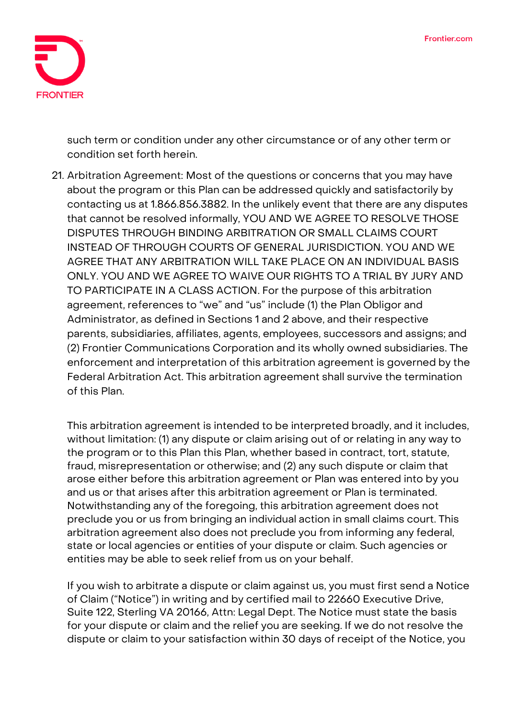

such term or condition under any other circumstance or of any other term or condition set forth herein.

21. **Arbitration Agreement:** Most of the questions or concerns that you may have about the program or this Plan can be addressed quickly and satisfactorily by contacting us at 1.866.856.3882. In the unlikely event that there are any disputes that cannot be resolved informally, **YOU AND WE AGREE TO RESOLVE THOSE DISPUTES THROUGH BINDING ARBITRATION OR SMALL CLAIMS COURT INSTEAD OF THROUGH COURTS OF GENERAL JURISDICTION. YOU AND WE AGREE THAT ANY ARBITRATION WILL TAKE PLACE ON AN INDIVIDUAL BASIS ONLY. YOU AND WE AGREE TO WAIVE OUR RIGHTS TO A TRIAL BY JURY AND TO PARTICIPATE IN A CLASS ACTION**. For the purpose of this arbitration agreement, references to "we" and "us" include (1) the Plan Obligor and Administrator, as defined in Sections 1 and 2 above, and their respective parents, subsidiaries, affiliates, agents, employees, successors and assigns; and (2) Frontier Communications Corporation and its wholly owned subsidiaries. The enforcement and interpretation of this arbitration agreement is governed by the Federal Arbitration Act. This arbitration agreement shall survive the termination of this Plan.

This arbitration agreement is intended to be interpreted broadly, and it includes, without limitation: (1) any dispute or claim arising out of or relating in any way to the program or to this Plan this Plan, whether based in contract, tort, statute, fraud, misrepresentation or otherwise; and (2) any such dispute or claim that arose either before this arbitration agreement or Plan was entered into by you and us or that arises after this arbitration agreement or Plan is terminated. Notwithstanding any of the foregoing, this arbitration agreement does not preclude you or us from bringing an individual action in small claims court. This arbitration agreement also does not preclude you from informing any federal, state or local agencies or entities of your dispute or claim. Such agencies or entities may be able to seek relief from us on your behalf.

If you wish to arbitrate a dispute or claim against us, you must first send a Notice of Claim ("Notice") in writing and by certified mail to 22660 Executive Drive, Suite 122, Sterling VA 20166, Attn: Legal Dept. The Notice must state the basis for your dispute or claim and the relief you are seeking. If we do not resolve the dispute or claim to your satisfaction within 30 days of receipt of the Notice, you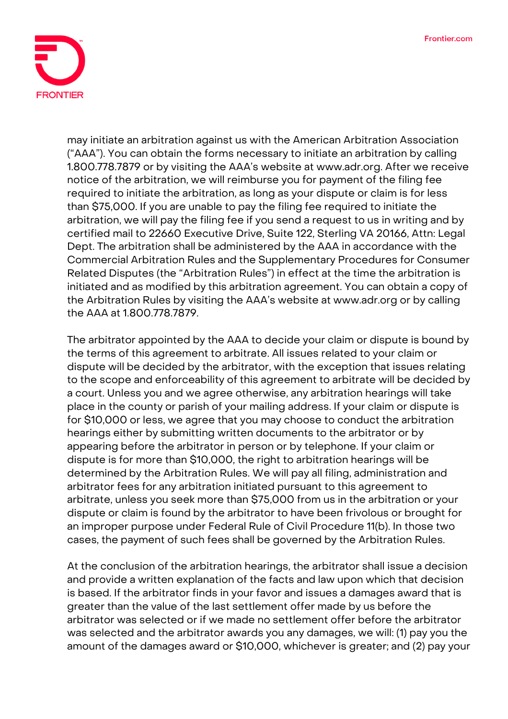

may initiate an arbitration against us with the American Arbitration Association ("AAA"). You can obtain the forms necessary to initiate an arbitration by calling 1.800.778.7879 or by visiting the AAA's website at www.adr.org. After we receive notice of the arbitration, we will reimburse you for payment of the filing fee required to initiate the arbitration, as long as your dispute or claim is for less than \$75,000. If you are unable to pay the filing fee required to initiate the arbitration, we will pay the filing fee if you send a request to us in writing and by certified mail to 22660 Executive Drive, Suite 122, Sterling VA 20166, Attn: Legal Dept. The arbitration shall be administered by the AAA in accordance with the Commercial Arbitration Rules and the Supplementary Procedures for Consumer Related Disputes (the "Arbitration Rules") in effect at the time the arbitration is initiated and as modified by this arbitration agreement. You can obtain a copy of the Arbitration Rules by visiting the AAA's website at www.adr.org or by calling the AAA at 1.800.778.7879.

The arbitrator appointed by the AAA to decide your claim or dispute is bound by the terms of this agreement to arbitrate. All issues related to your claim or dispute will be decided by the arbitrator, with the exception that issues relating to the scope and enforceability of this agreement to arbitrate will be decided by a court. Unless you and we agree otherwise, any arbitration hearings will take place in the county or parish of your mailing address. If your claim or dispute is for \$10,000 or less, we agree that you may choose to conduct the arbitration hearings either by submitting written documents to the arbitrator or by appearing before the arbitrator in person or by telephone. If your claim or dispute is for more than \$10,000, the right to arbitration hearings will be determined by the Arbitration Rules. We will pay all filing, administration and arbitrator fees for any arbitration initiated pursuant to this agreement to arbitrate, unless you seek more than \$75,000 from us in the arbitration or your dispute or claim is found by the arbitrator to have been frivolous or brought for an improper purpose under Federal Rule of Civil Procedure 11(b). In those two cases, the payment of such fees shall be governed by the Arbitration Rules.

At the conclusion of the arbitration hearings, the arbitrator shall issue a decision and provide a written explanation of the facts and law upon which that decision is based. If the arbitrator finds in your favor and issues a damages award that is greater than the value of the last settlement offer made by us before the arbitrator was selected or if we made no settlement offer before the arbitrator was selected and the arbitrator awards you any damages, we will: (1) pay you the amount of the damages award or \$10,000, whichever is greater; and (2) pay your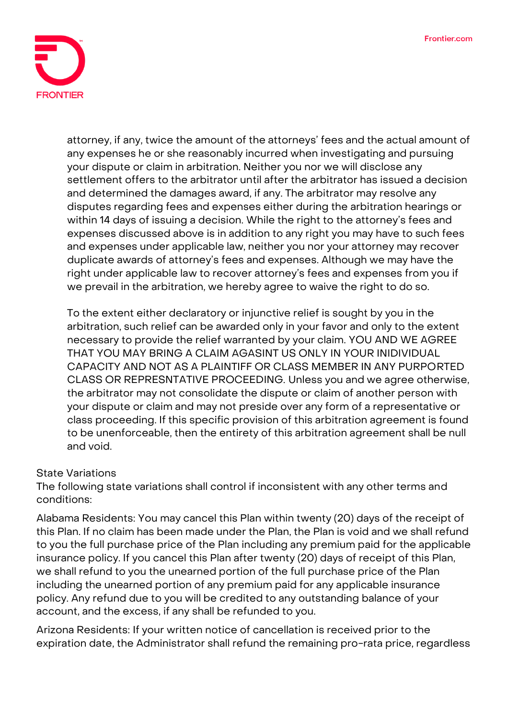

attorney, if any, twice the amount of the attorneys' fees and the actual amount of any expenses he or she reasonably incurred when investigating and pursuing your dispute or claim in arbitration. Neither you nor we will disclose any settlement offers to the arbitrator until after the arbitrator has issued a decision and determined the damages award, if any. The arbitrator may resolve any disputes regarding fees and expenses either during the arbitration hearings or within 14 days of issuing a decision. While the right to the attorney's fees and expenses discussed above is in addition to any right you may have to such fees and expenses under applicable law, neither you nor your attorney may recover duplicate awards of attorney's fees and expenses. Although we may have the right under applicable law to recover attorney's fees and expenses from you if we prevail in the arbitration, we hereby agree to waive the right to do so.

To the extent either declaratory or injunctive relief is sought by you in the arbitration, such relief can be awarded only in your favor and only to the extent necessary to provide the relief warranted by your claim. **YOU AND WE AGREE THAT YOU MAY BRING A CLAIM AGASINT US ONLY IN YOUR INIDIVIDUAL CAPACITY AND NOT AS A PLAINTIFF OR CLASS MEMBER IN ANY PURPORTED CLASS OR REPRESNTATIVE PROCEEDING.** Unless you and we agree otherwise, the arbitrator may not consolidate the dispute or claim of another person with your dispute or claim and may not preside over any form of a representative or class proceeding. If this specific provision of this arbitration agreement is found to be unenforceable, then the entirety of this arbitration agreement shall be null and void.

## **State Variations**

The following state variations shall control if inconsistent with any other terms and conditions:

**Alabama Residents:** You may cancel this Plan within twenty (20) days of the receipt of this Plan. If no claim has been made under the Plan, the Plan is void and we shall refund to you the full purchase price of the Plan including any premium paid for the applicable insurance policy. If you cancel this Plan after twenty (20) days of receipt of this Plan, we shall refund to you the unearned portion of the full purchase price of the Plan including the unearned portion of any premium paid for any applicable insurance policy. Any refund due to you will be credited to any outstanding balance of your account, and the excess, if any shall be refunded to you.

**Arizona Residents:** If your written notice of cancellation is received prior to the expiration date, the Administrator shall refund the remaining pro-rata price, regardless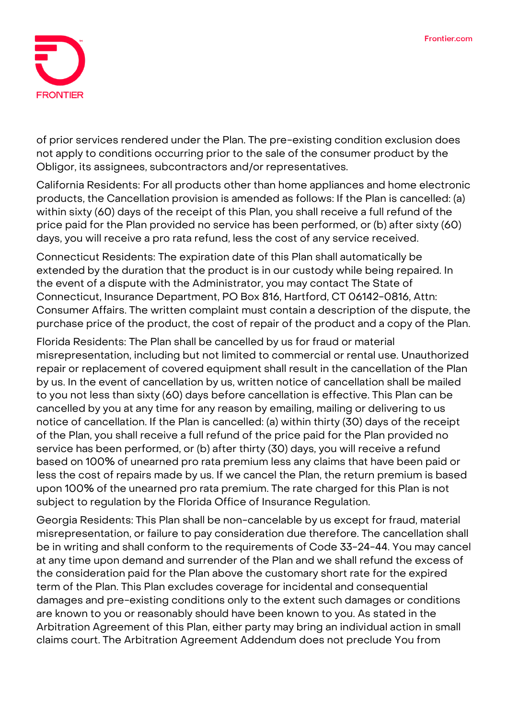

of prior services rendered under the Plan. The pre-existing condition exclusion does not apply to conditions occurring prior to the sale of the consumer product by the Obligor, its assignees, subcontractors and/or representatives.

**California Residents:** For all products other than home appliances and home electronic products, the Cancellation provision is amended as follows: If the Plan is cancelled: (a) within sixty (60) days of the receipt of this Plan, you shall receive a full refund of the price paid for the Plan provided no service has been performed, or (b) after sixty (60) days, you will receive a pro rata refund, less the cost of any service received.

**Connecticut Residents:** The expiration date of this Plan shall automatically be extended by the duration that the product is in our custody while being repaired. In the event of a dispute with the Administrator, you may contact The State of Connecticut, Insurance Department, PO Box 816, Hartford, CT 06142-0816, Attn: Consumer Affairs. The written complaint must contain a description of the dispute, the purchase price of the product, the cost of repair of the product and a copy of the Plan.

**Florida Residents:** The Plan shall be cancelled by us for fraud or material misrepresentation, including but not limited to commercial or rental use. Unauthorized repair or replacement of covered equipment shall result in the cancellation of the Plan by us. In the event of cancellation by us, written notice of cancellation shall be mailed to you not less than sixty (60) days before cancellation is effective. This Plan can be cancelled by you at any time for any reason by emailing, mailing or delivering to us notice of cancellation. If the Plan is cancelled: (a) within thirty (30) days of the receipt of the Plan, you shall receive a full refund of the price paid for the Plan provided no service has been performed, or (b) after thirty (30) days, you will receive a refund based on 100% of unearned pro rata premium less any claims that have been paid or less the cost of repairs made by us. If we cancel the Plan, the return premium is based upon 100% of the unearned pro rata premium. The rate charged for this Plan is not subject to regulation by the Florida Office of Insurance Regulation.

**Georgia Residents:** This Plan shall be non-cancelable by us except for fraud, material misrepresentation, or failure to pay consideration due therefore. The cancellation shall be in writing and shall conform to the requirements of Code 33-24-44. You may cancel at any time upon demand and surrender of the Plan and we shall refund the excess of the consideration paid for the Plan above the customary short rate for the expired term of the Plan. This Plan excludes coverage for incidental and consequential damages and pre-existing conditions only to the extent such damages or conditions are known to you or reasonably should have been known to you. As stated in the Arbitration Agreement of this Plan, either party may bring an individual action in small claims court. The Arbitration Agreement Addendum does not preclude You from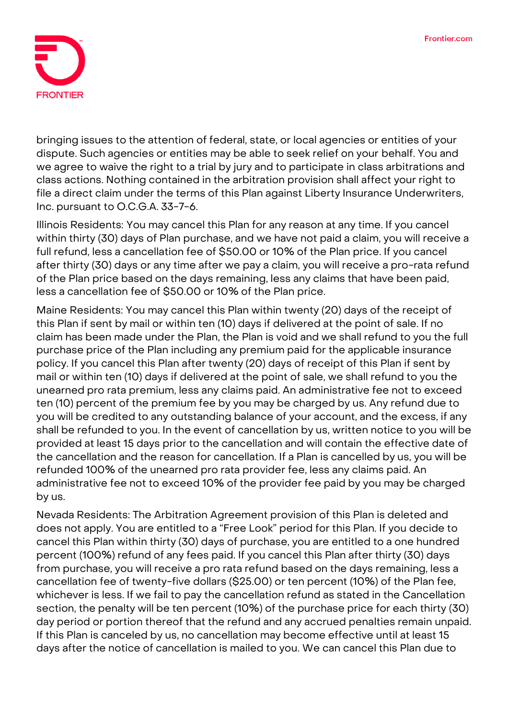

bringing issues to the attention of federal, state, or local agencies or entities of your dispute. Such agencies or entities may be able to seek relief on your behalf. You and we agree to waive the right to a trial by jury and to participate in class arbitrations and class actions. Nothing contained in the arbitration provision shall affect your right to file a direct claim under the terms of this Plan against Liberty Insurance Underwriters, Inc. pursuant to O.C.G.A. 33-7-6.

**Illinois Residents:** You may cancel this Plan for any reason at any time. If you cancel within thirty (30) days of Plan purchase, and we have not paid a claim, you will receive a full refund, less a cancellation fee of \$50.00 or 10% of the Plan price. If you cancel after thirty (30) days or any time after we pay a claim, you will receive a pro-rata refund of the Plan price based on the days remaining, less any claims that have been paid, less a cancellation fee of \$50.00 or 10% of the Plan price.

**Maine Residents:** You may cancel this Plan within twenty (20) days of the receipt of this Plan if sent by mail or within ten (10) days if delivered at the point of sale. If no claim has been made under the Plan, the Plan is void and we shall refund to you the full purchase price of the Plan including any premium paid for the applicable insurance policy. If you cancel this Plan after twenty (20) days of receipt of this Plan if sent by mail or within ten (10) days if delivered at the point of sale, we shall refund to you the unearned pro rata premium, less any claims paid. An administrative fee not to exceed ten (10) percent of the premium fee by you may be charged by us. Any refund due to you will be credited to any outstanding balance of your account, and the excess, if any shall be refunded to you. In the event of cancellation by us, written notice to you will be provided at least 15 days prior to the cancellation and will contain the effective date of the cancellation and the reason for cancellation. If a Plan is cancelled by us, you will be refunded 100% of the unearned pro rata provider fee, less any claims paid. An administrative fee not to exceed 10% of the provider fee paid by you may be charged by us.

**Nevada Residents:** The Arbitration Agreement provision of this Plan is deleted and does not apply. You are entitled to a "Free Look" period for this Plan. If you decide to cancel this Plan within thirty (30) days of purchase, you are entitled to a one hundred percent (100%) refund of any fees paid. If you cancel this Plan after thirty (30) days from purchase, you will receive a pro rata refund based on the days remaining, less a cancellation fee of twenty-five dollars (\$25.00) or ten percent (10%) of the Plan fee, whichever is less. If we fail to pay the cancellation refund as stated in the Cancellation section, the penalty will be ten percent (10%) of the purchase price for each thirty (30) day period or portion thereof that the refund and any accrued penalties remain unpaid. If this Plan is canceled by us, no cancellation may become effective until at least 15 days after the notice of cancellation is mailed to you. We can cancel this Plan due to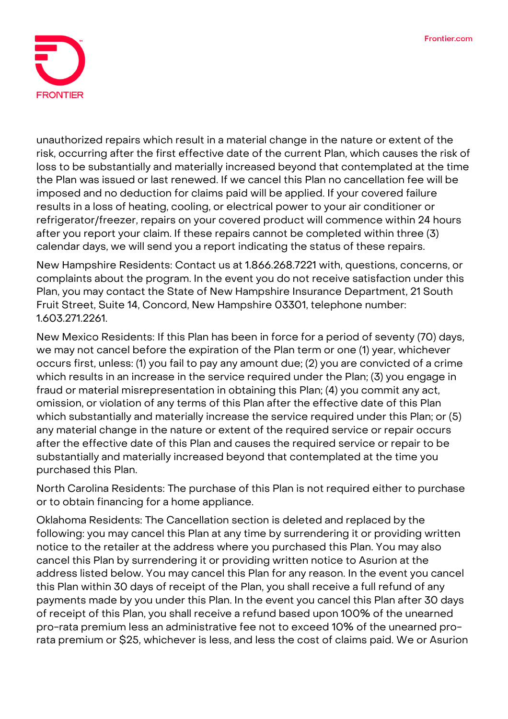

unauthorized repairs which result in a material change in the nature or extent of the risk, occurring after the first effective date of the current Plan, which causes the risk of loss to be substantially and materially increased beyond that contemplated at the time the Plan was issued or last renewed. If we cancel this Plan no cancellation fee will be imposed and no deduction for claims paid will be applied. If your covered failure results in a loss of heating, cooling, or electrical power to your air conditioner or refrigerator/freezer, repairs on your covered product will commence within 24 hours after you report your claim. If these repairs cannot be completed within three (3) calendar days, we will send you a report indicating the status of these repairs.

**New Hampshire Residents:** Contact us at 1.866.268.7221 with, questions, concerns, or complaints about the program. In the event you do not receive satisfaction under this Plan, you may contact the State of New Hampshire Insurance Department, 21 South Fruit Street, Suite 14, Concord, New Hampshire 03301, telephone number: 1.603.271.2261.

**New Mexico Residents:** If this Plan has been in force for a period of seventy (70) days, we may not cancel before the expiration of the Plan term or one (1) year, whichever occurs first, unless: (1) you fail to pay any amount due; (2) you are convicted of a crime which results in an increase in the service required under the Plan; (3) you engage in fraud or material misrepresentation in obtaining this Plan; (4) you commit any act, omission, or violation of any terms of this Plan after the effective date of this Plan which substantially and materially increase the service required under this Plan; or (5) any material change in the nature or extent of the required service or repair occurs after the effective date of this Plan and causes the required service or repair to be substantially and materially increased beyond that contemplated at the time you purchased this Plan.

**North Carolina Residents:** The purchase of this Plan is not required either to purchase or to obtain financing for a home appliance.

**Oklahoma Residents:** The Cancellation section is deleted and replaced by the following: you may cancel this Plan at any time by surrendering it or providing written notice to the retailer at the address where you purchased this Plan. You may also cancel this Plan by surrendering it or providing written notice to Asurion at the address listed below. You may cancel this Plan for any reason. In the event you cancel this Plan within 30 days of receipt of the Plan, you shall receive a full refund of any payments made by you under this Plan. In the event you cancel this Plan after 30 days of receipt of this Plan, you shall receive a refund based upon 100% of the unearned pro-rata premium less an administrative fee not to exceed 10% of the unearned prorata premium or \$25, whichever is less, and less the cost of claims paid. We or Asurion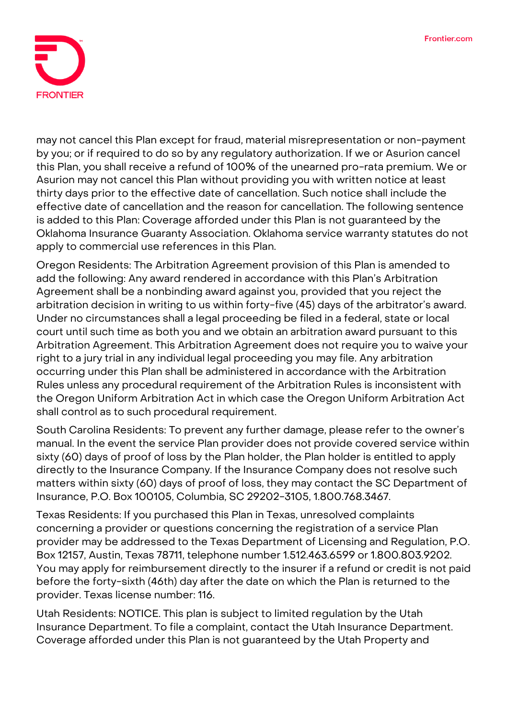

may not cancel this Plan except for fraud, material misrepresentation or non-payment by you; or if required to do so by any regulatory authorization. If we or Asurion cancel this Plan, you shall receive a refund of 100% of the unearned pro-rata premium. We or Asurion may not cancel this Plan without providing you with written notice at least thirty days prior to the effective date of cancellation. Such notice shall include the effective date of cancellation and the reason for cancellation. The following sentence is added to this Plan: Coverage afforded under this Plan is not guaranteed by the Oklahoma Insurance Guaranty Association. Oklahoma service warranty statutes do not apply to commercial use references in this Plan.

**Oregon Residents:** The Arbitration Agreement provision of this Plan is amended to add the following: **Any award rendered in accordance with this Plan's Arbitration Agreement shall be a nonbinding award against you,** provided that you reject the arbitration decision in writing to us within forty-five (45) days of the arbitrator's award. Under no circumstances shall a legal proceeding be filed in a federal, state or local court until such time as both you and we obtain an arbitration award pursuant to this Arbitration Agreement. This Arbitration Agreement does not require you to waive your right to a jury trial in any individual legal proceeding you may file. Any arbitration occurring under this Plan shall be administered in accordance with the Arbitration Rules unless any procedural requirement of the Arbitration Rules is inconsistent with the Oregon Uniform Arbitration Act in which case the Oregon Uniform Arbitration Act shall control as to such procedural requirement.

**South Carolina Residents:** To prevent any further damage, please refer to the owner's manual. In the event the service Plan provider does not provide covered service within sixty (60) days of proof of loss by the Plan holder, the Plan holder is entitled to apply directly to the Insurance Company. If the Insurance Company does not resolve such matters within sixty (60) days of proof of loss, they may contact the SC Department of Insurance, P.O. Box 100105, Columbia, SC 29202-3105, 1.800.768.3467.

**Texas Residents:** If you purchased this Plan in Texas, unresolved complaints concerning a provider or questions concerning the registration of a service Plan provider may be addressed to the Texas Department of Licensing and Regulation, P.O. Box 12157, Austin, Texas 78711, telephone number 1.512.463.6599 or 1.800.803.9202. You may apply for reimbursement directly to the insurer if a refund or credit is not paid before the forty-sixth (46th) day after the date on which the Plan is returned to the provider. Texas license number: 116.

**Utah Residents: NOTICE. This plan is subject to limited regulation by the Utah Insurance Department. To file a complaint, contact the Utah Insurance Department.**  Coverage afforded under this Plan is not guaranteed by the Utah Property and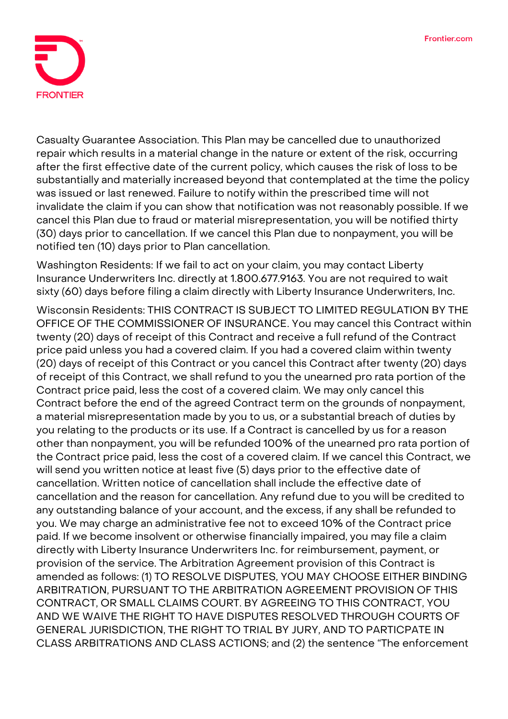

Casualty Guarantee Association. This Plan may be cancelled due to unauthorized repair which results in a material change in the nature or extent of the risk, occurring after the first effective date of the current policy, which causes the risk of loss to be substantially and materially increased beyond that contemplated at the time the policy was issued or last renewed. Failure to notify within the prescribed time will not invalidate the claim if you can show that notification was not reasonably possible. If we cancel this Plan due to fraud or material misrepresentation, you will be notified thirty (30) days prior to cancellation. If we cancel this Plan due to nonpayment, you will be notified ten (10) days prior to Plan cancellation.

**Washington Residents:** If we fail to act on your claim, you may contact Liberty Insurance Underwriters Inc. directly at 1.800.677.9163. You are not required to wait sixty (60) days before filing a claim directly with Liberty Insurance Underwriters, Inc.

**Wisconsin Residents: THIS CONTRACT IS SUBJECT TO LIMITED REGULATION BY THE OFFICE OF THE COMMISSIONER OF INSURANCE**. You may cancel this Contract within twenty (20) days of receipt of this Contract and receive a full refund of the Contract price paid unless you had a covered claim. If you had a covered claim within twenty (20) days of receipt of this Contract or you cancel this Contract after twenty (20) days of receipt of this Contract, we shall refund to you the unearned pro rata portion of the Contract price paid, less the cost of a covered claim. We may only cancel this Contract before the end of the agreed Contract term on the grounds of nonpayment, a material misrepresentation made by you to us, or a substantial breach of duties by you relating to the products or its use. If a Contract is cancelled by us for a reason other than nonpayment, you will be refunded 100% of the unearned pro rata portion of the Contract price paid, less the cost of a covered claim. If we cancel this Contract, we will send you written notice at least five (5) days prior to the effective date of cancellation. Written notice of cancellation shall include the effective date of cancellation and the reason for cancellation. Any refund due to you will be credited to any outstanding balance of your account, and the excess, if any shall be refunded to you. We may charge an administrative fee not to exceed 10% of the Contract price paid. If we become insolvent or otherwise financially impaired, you may file a claim directly with Liberty Insurance Underwriters Inc. for reimbursement, payment, or provision of the service. The Arbitration Agreement provision of this Contract is amended as follows: **(1) TO RESOLVE DISPUTES, YOU MAY CHOOSE EITHER BINDING ARBITRATION, PURSUANT TO THE ARBITRATION AGREEMENT PROVISION OF THIS CONTRACT, OR SMALL CLAIMS COURT. BY AGREEING TO THIS CONTRACT, YOU AND WE WAIVE THE RIGHT TO HAVE DISPUTES RESOLVED THROUGH COURTS OF GENERAL JURISDICTION, THE RIGHT TO TRIAL BY JURY, AND TO PARTICPATE IN CLASS ARBITRATIONS AND CLASS ACTIONS;** and **(2)** the sentence "The enforcement